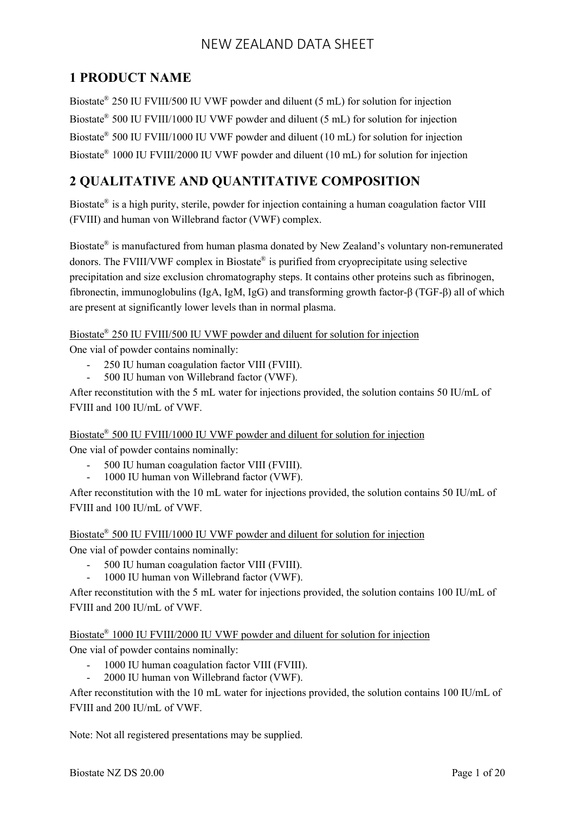# **1 PRODUCT NAME**

Biostate® 250 IU FVIII/500 IU VWF powder and diluent (5 mL) for solution for injection Biostate® 500 IU FVIII/1000 IU VWF powder and diluent (5 mL) for solution for injection Biostate<sup>®</sup> 500 IU FVIII/1000 IU VWF powder and diluent (10 mL) for solution for injection Biostate® 1000 IU FVIII/2000 IU VWF powder and diluent (10 mL) for solution for injection

# **2 QUALITATIVE AND QUANTITATIVE COMPOSITION**

Biostate® is a high purity, sterile, powder for injection containing a human coagulation factor VIII (FVIII) and human von Willebrand factor (VWF) complex.

Biostate® is manufactured from human plasma donated by New Zealand's voluntary non-remunerated donors. The FVIII/VWF complex in Biostate® is purified from cryoprecipitate using selective precipitation and size exclusion chromatography steps. It contains other proteins such as fibrinogen, fibronectin, immunoglobulins (IgA, IgM, IgG) and transforming growth factor-β (TGF-β) all of which are present at significantly lower levels than in normal plasma.

Biostate<sup>®</sup> 250 IU FVIII/500 IU VWF powder and diluent for solution for injection

One vial of powder contains nominally:

- 250 IU human coagulation factor VIII (FVIII).
- 500 IU human von Willebrand factor (VWF).

After reconstitution with the 5 mL water for injections provided, the solution contains 50 IU/mL of FVIII and 100 IU/mL of VWF.

Biostate<sup>®</sup> 500 IU FVIII/1000 IU VWF powder and diluent for solution for injection One vial of powder contains nominally:

- 500 IU human coagulation factor VIII (FVIII).
- 1000 IU human von Willebrand factor (VWF).

After reconstitution with the 10 mL water for injections provided, the solution contains 50 IU/mL of FVIII and 100 IU/mL of VWF.

Biostate<sup>®</sup> 500 IU FVIII/1000 IU VWF powder and diluent for solution for injection One vial of powder contains nominally:

- 500 IU human coagulation factor VIII (FVIII).
- 1000 IU human von Willebrand factor (VWF).

After reconstitution with the 5 mL water for injections provided, the solution contains 100 IU/mL of FVIII and 200 IU/mL of VWF.

Biostate<sup>®</sup> 1000 IU FVIII/2000 IU VWF powder and diluent for solution for injection

One vial of powder contains nominally:

- 1000 IU human coagulation factor VIII (FVIII).
- 2000 IU human von Willebrand factor (VWF).

After reconstitution with the 10 mL water for injections provided, the solution contains 100 IU/mL of FVIII and 200 IU/mL of VWF.

Note: Not all registered presentations may be supplied.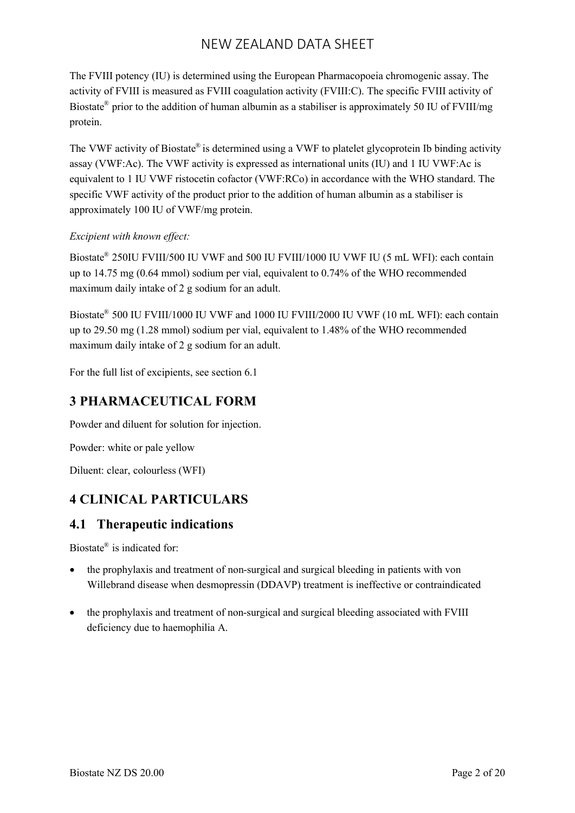The FVIII potency (IU) is determined using the European Pharmacopoeia chromogenic assay. The activity of FVIII is measured as FVIII coagulation activity (FVIII:C). The specific FVIII activity of Biostate<sup>®</sup> prior to the addition of human albumin as a stabiliser is approximately 50 IU of FVIII/mg protein.

The VWF activity of Biostate<sup>®</sup> is determined using a VWF to platelet glycoprotein Ib binding activity assay (VWF:Ac). The VWF activity is expressed as international units (IU) and 1 IU VWF:Ac is equivalent to 1 IU VWF ristocetin cofactor (VWF:RCo) in accordance with the WHO standard. The specific VWF activity of the product prior to the addition of human albumin as a stabiliser is approximately 100 IU of VWF/mg protein.

#### *Excipient with known effect:*

Biostate® 250IU FVIII/500 IU VWF and 500 IU FVIII/1000 IU VWF IU (5 mL WFI): each contain up to 14.75 mg (0.64 mmol) sodium per vial, equivalent to 0.74% of the WHO recommended maximum daily intake of 2 g sodium for an adult.

Biostate® 500 IU FVIII/1000 IU VWF and 1000 IU FVIII/2000 IU VWF (10 mL WFI): each contain up to 29.50 mg (1.28 mmol) sodium per vial, equivalent to 1.48% of the WHO recommended maximum daily intake of 2 g sodium for an adult.

For the full list of excipients, see section 6.1

## **3 PHARMACEUTICAL FORM**

Powder and diluent for solution for injection.

Powder: white or pale yellow

Diluent: clear, colourless (WFI)

## **4 CLINICAL PARTICULARS**

### **4.1 Therapeutic indications**

Biostate® is indicated for:

- the prophylaxis and treatment of non-surgical and surgical bleeding in patients with von Willebrand disease when desmopressin (DDAVP) treatment is ineffective or contraindicated
- the prophylaxis and treatment of non-surgical and surgical bleeding associated with FVIII deficiency due to haemophilia A.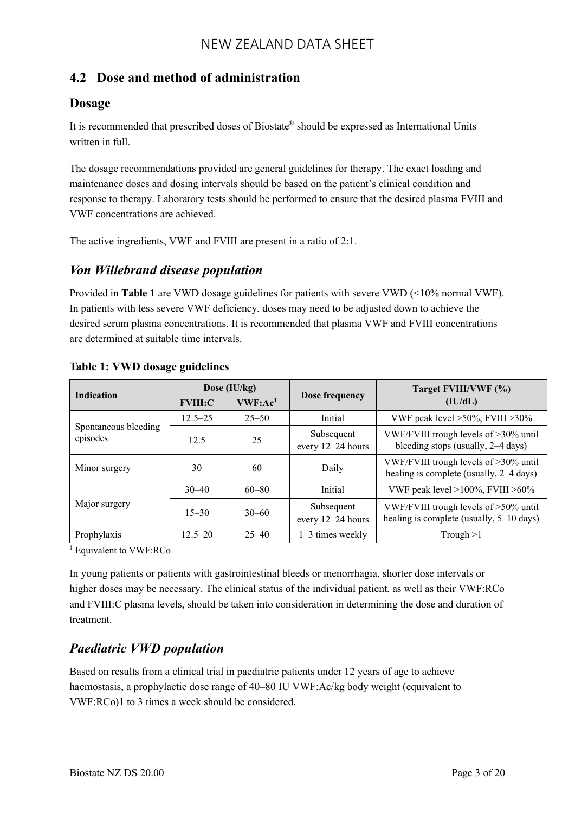## **4.2 Dose and method of administration**

### **Dosage**

It is recommended that prescribed doses of Biostate® should be expressed as International Units written in full.

The dosage recommendations provided are general guidelines for therapy. The exact loading and maintenance doses and dosing intervals should be based on the patient's clinical condition and response to therapy. Laboratory tests should be performed to ensure that the desired plasma FVIII and VWF concentrations are achieved.

The active ingredients, VWF and FVIII are present in a ratio of 2:1.

### *Von Willebrand disease population*

Provided in **Table 1** are VWD dosage guidelines for patients with severe VWD (<10% normal VWF). In patients with less severe VWF deficiency, doses may need to be adjusted down to achieve the desired serum plasma concentrations. It is recommended that plasma VWF and FVIII concentrations are determined at suitable time intervals.

| <b>Indication</b>                | Dose (IU/kg)   |                      |                                 | Target FVIII/VWF (%)                                                              |  |  |
|----------------------------------|----------------|----------------------|---------------------------------|-----------------------------------------------------------------------------------|--|--|
|                                  | <b>FVIII:C</b> | VWF: Ac <sup>1</sup> | Dose frequency                  | (IU/dL)                                                                           |  |  |
|                                  | $12.5 - 25$    | $25 - 50$            | Initial                         | VWF peak level $>50\%$ , FVIII $>30\%$                                            |  |  |
| Spontaneous bleeding<br>episodes | 12.5           | 25                   | Subsequent<br>every 12-24 hours | VWF/FVIII trough levels of >30% until<br>bleeding stops (usually, 2–4 days)       |  |  |
| Minor surgery                    | 30             | 60                   | Daily                           | VWF/FVIII trough levels of >30% until<br>healing is complete (usually, 2-4 days)  |  |  |
|                                  | $30 - 40$      | $60 - 80$            | Initial                         | VWF peak level >100%, FVIII >60%                                                  |  |  |
| Major surgery                    | $15 - 30$      | $30 - 60$            | Subsequent<br>every 12-24 hours | VWF/FVIII trough levels of >50% until<br>healing is complete (usually, 5–10 days) |  |  |
| Prophylaxis                      | $12.5 - 20$    | $25 - 40$            | $1-3$ times weekly              | Trough $>1$                                                                       |  |  |

#### **Table 1: VWD dosage guidelines**

<sup>1</sup> Equivalent to VWF:RCo

In young patients or patients with gastrointestinal bleeds or menorrhagia, shorter dose intervals or higher doses may be necessary. The clinical status of the individual patient, as well as their VWF:RCo and FVIII:C plasma levels, should be taken into consideration in determining the dose and duration of treatment.

## *Paediatric VWD population*

Based on results from a clinical trial in paediatric patients under 12 years of age to achieve haemostasis, a prophylactic dose range of 40–80 IU VWF:Ac/kg body weight (equivalent to VWF:RCo)1 to 3 times a week should be considered.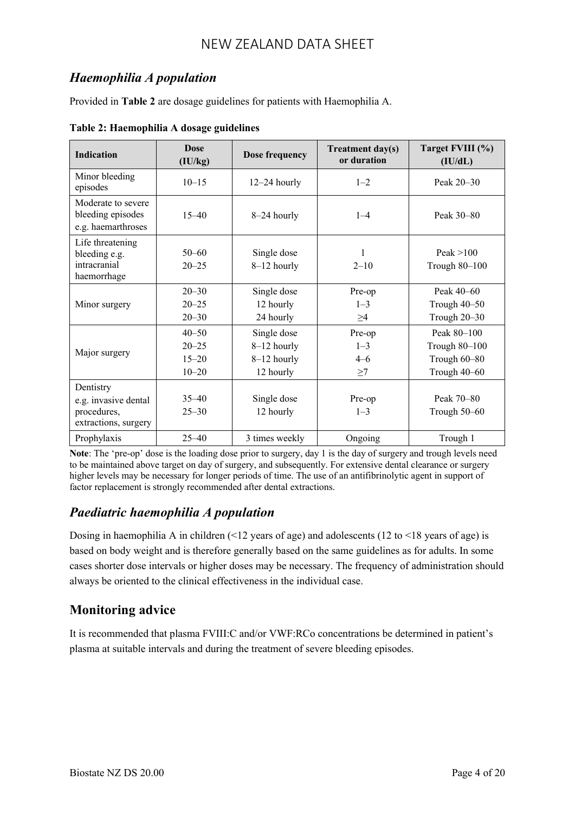## *Haemophilia A population*

Provided in **Table 2** are dosage guidelines for patients with Haemophilia A.

| <b>Indication</b>                                                        | <b>Dose</b><br>(IU/kg)                           | <b>Dose frequency</b>                                  | <b>Treatment day(s)</b><br>or duration   | Target FVIII (%)<br>(IU/dL)                                  |  |
|--------------------------------------------------------------------------|--------------------------------------------------|--------------------------------------------------------|------------------------------------------|--------------------------------------------------------------|--|
| Minor bleeding<br>episodes                                               | $10 - 15$                                        | $12-24$ hourly                                         | $1 - 2$                                  | Peak 20–30                                                   |  |
| Moderate to severe<br>bleeding episodes<br>e.g. haemarthroses            | $15 - 40$                                        | 8-24 hourly                                            | $1 - 4$                                  | Peak 30-80                                                   |  |
| Life threatening<br>bleeding e.g.<br>intracranial<br>haemorrhage         | $50 - 60$<br>$20 - 25$                           | Single dose<br>8-12 hourly                             | $\mathbf{1}$<br>$2 - 10$                 | Peak $>100$<br>Trough 80-100                                 |  |
| Minor surgery                                                            | $20 - 30$<br>$20 - 25$<br>$20 - 30$              | Single dose<br>12 hourly<br>24 hourly                  | Pre-op<br>$1 - 3$<br>$\geq$ 4            | Peak 40–60<br>Trough 40-50<br>Trough 20-30                   |  |
| Major surgery                                                            | $40 - 50$<br>$20 - 25$<br>$15 - 20$<br>$10 - 20$ | Single dose<br>8-12 hourly<br>8-12 hourly<br>12 hourly | Pre-op<br>$1 - 3$<br>$4 - 6$<br>$\geq$ 7 | Peak 80-100<br>Trough 80-100<br>Trough 60-80<br>Trough 40-60 |  |
| Dentistry<br>e.g. invasive dental<br>procedures,<br>extractions, surgery | $35 - 40$<br>$25 - 30$                           | Single dose<br>12 hourly                               | Pre-op<br>$1 - 3$                        | Peak 70–80<br>Trough 50–60                                   |  |
| Prophylaxis                                                              | $25 - 40$                                        | 3 times weekly                                         | Ongoing                                  | Trough 1                                                     |  |

**Table 2: Haemophilia A dosage guidelines**

**Note**: The 'pre-op' dose is the loading dose prior to surgery, day 1 is the day of surgery and trough levels need to be maintained above target on day of surgery, and subsequently. For extensive dental clearance or surgery higher levels may be necessary for longer periods of time. The use of an antifibrinolytic agent in support of factor replacement is strongly recommended after dental extractions.

## *Paediatric haemophilia A population*

Dosing in haemophilia A in children  $(12 \text{ years of age})$  and adolescents  $(12 \text{ to } 18 \text{ years of age})$  is based on body weight and is therefore generally based on the same guidelines as for adults. In some cases shorter dose intervals or higher doses may be necessary. The frequency of administration should always be oriented to the clinical effectiveness in the individual case.

## **Monitoring advice**

It is recommended that plasma FVIII:C and/or VWF:RCo concentrations be determined in patient's plasma at suitable intervals and during the treatment of severe bleeding episodes.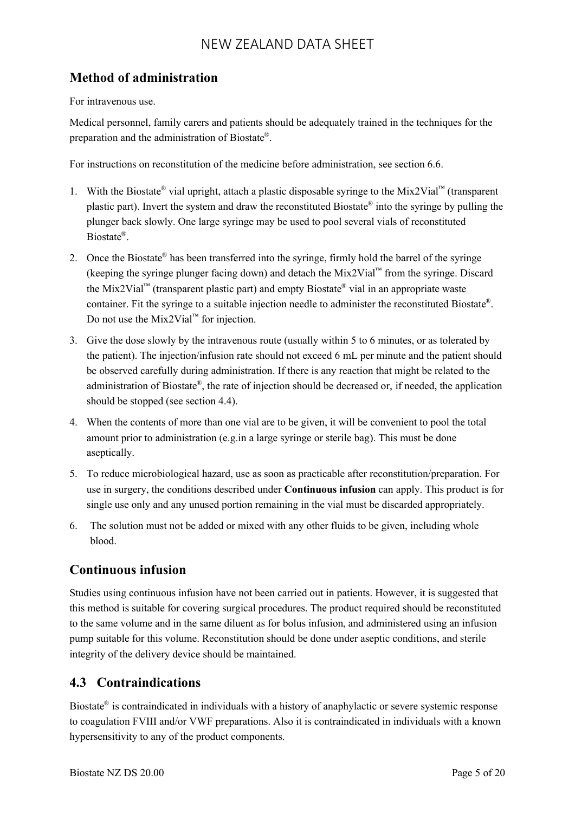## **Method of administration**

For intravenous use.

Medical personnel, family carers and patients should be adequately trained in the techniques for the preparation and the administration of Biostate® .

For instructions on reconstitution of the medicine before administration, see section 6.6.

- 1. With the Biostate<sup>®</sup> vial upright, attach a plastic disposable syringe to the Mix2Vial<sup>™</sup> (transparent plastic part). Invert the system and draw the reconstituted Biostate® into the syringe by pulling the plunger back slowly. One large syringe may be used to pool several vials of reconstituted Biostate® .
- 2. Once the Biostate<sup>®</sup> has been transferred into the syringe, firmly hold the barrel of the syringe (keeping the syringe plunger facing down) and detach the Mix2Vial™ from the syringe. Discard the Mix2Vial<sup>™</sup> (transparent plastic part) and empty Biostate<sup>®</sup> vial in an appropriate waste container. Fit the syringe to a suitable injection needle to administer the reconstituted Biostate® . Do not use the Mix2Vial<sup>™</sup> for injection.
- 3. Give the dose slowly by the intravenous route (usually within 5 to 6 minutes, or as tolerated by the patient). The injection/infusion rate should not exceed 6 mL per minute and the patient should be observed carefully during administration. If there is any reaction that might be related to the administration of Biostate®, the rate of injection should be decreased or, if needed, the application should be stopped (see section 4.4).
- 4. When the contents of more than one vial are to be given, it will be convenient to pool the total amount prior to administration (e.g.in a large syringe or sterile bag). This must be done aseptically.
- 5. To reduce microbiological hazard, use as soon as practicable after reconstitution/preparation. For use in surgery, the conditions described under **Continuous infusion** can apply. This product is for single use only and any unused portion remaining in the vial must be discarded appropriately.
- 6. The solution must not be added or mixed with any other fluids to be given, including whole blood.

## **Continuous infusion**

Studies using continuous infusion have not been carried out in patients. However, it is suggested that this method is suitable for covering surgical procedures. The product required should be reconstituted to the same volume and in the same diluent as for bolus infusion, and administered using an infusion pump suitable for this volume. Reconstitution should be done under aseptic conditions, and sterile integrity of the delivery device should be maintained.

## **4.3 Contraindications**

Biostate® is contraindicated in individuals with a history of anaphylactic or severe systemic response to coagulation FVIII and/or VWF preparations. Also it is contraindicated in individuals with a known hypersensitivity to any of the product components.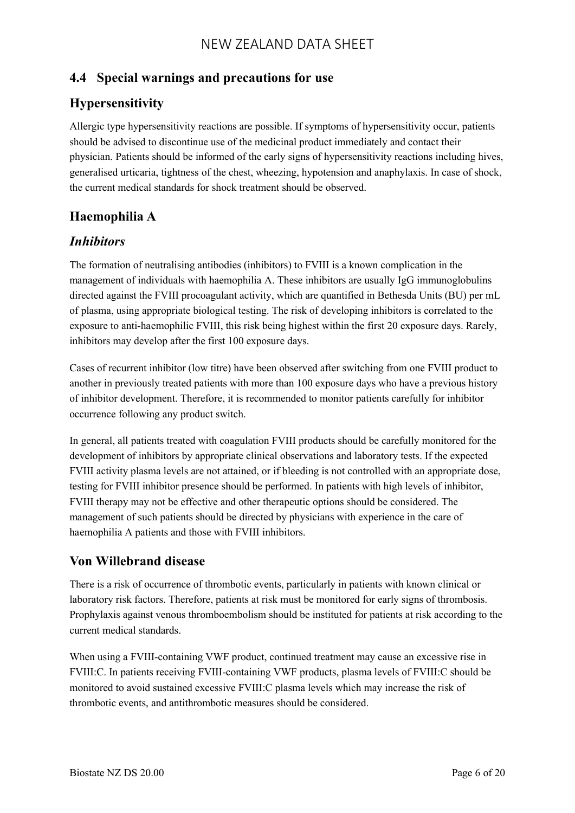## **4.4 Special warnings and precautions for use**

# **Hypersensitivity**

Allergic type hypersensitivity reactions are possible. If symptoms of hypersensitivity occur, patients should be advised to discontinue use of the medicinal product immediately and contact their physician. Patients should be informed of the early signs of hypersensitivity reactions including hives, generalised urticaria, tightness of the chest, wheezing, hypotension and anaphylaxis. In case of shock, the current medical standards for shock treatment should be observed.

# **Haemophilia A**

## *Inhibitors*

The formation of neutralising antibodies (inhibitors) to FVIII is a known complication in the management of individuals with haemophilia A. These inhibitors are usually IgG immunoglobulins directed against the FVIII procoagulant activity, which are quantified in Bethesda Units (BU) per mL of plasma, using appropriate biological testing. The risk of developing inhibitors is correlated to the exposure to anti-haemophilic FVIII, this risk being highest within the first 20 exposure days. Rarely, inhibitors may develop after the first 100 exposure days.

Cases of recurrent inhibitor (low titre) have been observed after switching from one FVIII product to another in previously treated patients with more than 100 exposure days who have a previous history of inhibitor development. Therefore, it is recommended to monitor patients carefully for inhibitor occurrence following any product switch.

In general, all patients treated with coagulation FVIII products should be carefully monitored for the development of inhibitors by appropriate clinical observations and laboratory tests. If the expected FVIII activity plasma levels are not attained, or if bleeding is not controlled with an appropriate dose, testing for FVIII inhibitor presence should be performed. In patients with high levels of inhibitor, FVIII therapy may not be effective and other therapeutic options should be considered. The management of such patients should be directed by physicians with experience in the care of haemophilia A patients and those with FVIII inhibitors.

## **Von Willebrand disease**

There is a risk of occurrence of thrombotic events, particularly in patients with known clinical or laboratory risk factors. Therefore, patients at risk must be monitored for early signs of thrombosis. Prophylaxis against venous thromboembolism should be instituted for patients at risk according to the current medical standards.

When using a FVIII-containing VWF product, continued treatment may cause an excessive rise in FVIII:C. In patients receiving FVIII-containing VWF products, plasma levels of FVIII:C should be monitored to avoid sustained excessive FVIII:C plasma levels which may increase the risk of thrombotic events, and antithrombotic measures should be considered.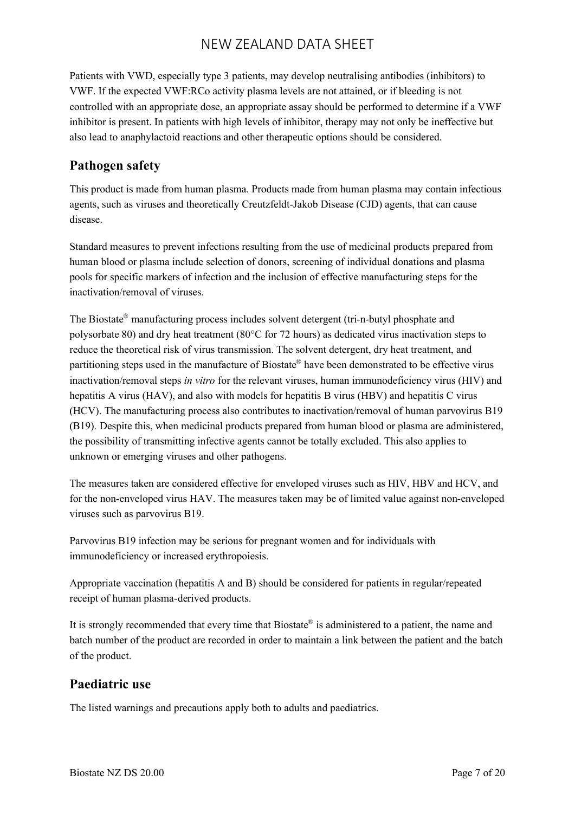Patients with VWD, especially type 3 patients, may develop neutralising antibodies (inhibitors) to VWF. If the expected VWF:RCo activity plasma levels are not attained, or if bleeding is not controlled with an appropriate dose, an appropriate assay should be performed to determine if a VWF inhibitor is present. In patients with high levels of inhibitor, therapy may not only be ineffective but also lead to anaphylactoid reactions and other therapeutic options should be considered.

## **Pathogen safety**

This product is made from human plasma. Products made from human plasma may contain infectious agents, such as viruses and theoretically Creutzfeldt-Jakob Disease (CJD) agents, that can cause disease.

Standard measures to prevent infections resulting from the use of medicinal products prepared from human blood or plasma include selection of donors, screening of individual donations and plasma pools for specific markers of infection and the inclusion of effective manufacturing steps for the inactivation/removal of viruses.

The Biostate® manufacturing process includes solvent detergent (tri-n-butyl phosphate and polysorbate 80) and dry heat treatment (80°C for 72 hours) as dedicated virus inactivation steps to reduce the theoretical risk of virus transmission. The solvent detergent, dry heat treatment, and partitioning steps used in the manufacture of Biostate® have been demonstrated to be effective virus inactivation/removal steps *in vitro* for the relevant viruses, human immunodeficiency virus (HIV) and hepatitis A virus (HAV), and also with models for hepatitis B virus (HBV) and hepatitis C virus (HCV). The manufacturing process also contributes to inactivation/removal of human parvovirus B19 (B19). Despite this, when medicinal products prepared from human blood or plasma are administered, the possibility of transmitting infective agents cannot be totally excluded. This also applies to unknown or emerging viruses and other pathogens.

The measures taken are considered effective for enveloped viruses such as HIV, HBV and HCV, and for the non-enveloped virus HAV. The measures taken may be of limited value against non-enveloped viruses such as parvovirus B19.

Parvovirus B19 infection may be serious for pregnant women and for individuals with immunodeficiency or increased erythropoiesis.

Appropriate vaccination (hepatitis A and B) should be considered for patients in regular/repeated receipt of human plasma-derived products.

It is strongly recommended that every time that  $Biostate^{\circledast}$  is administered to a patient, the name and batch number of the product are recorded in order to maintain a link between the patient and the batch of the product.

## **Paediatric use**

The listed warnings and precautions apply both to adults and paediatrics.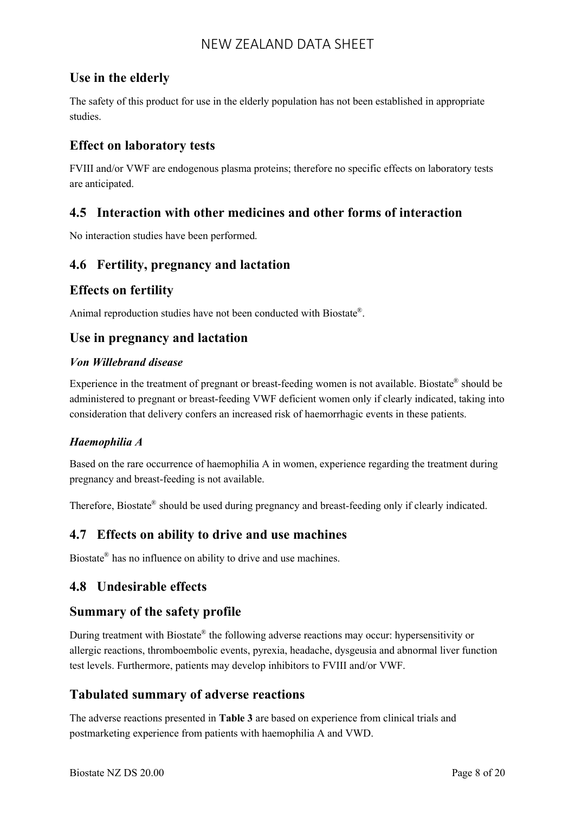## **Use in the elderly**

The safety of this product for use in the elderly population has not been established in appropriate studies.

## **Effect on laboratory tests**

FVIII and/or VWF are endogenous plasma proteins; therefore no specific effects on laboratory tests are anticipated.

### **4.5 Interaction with other medicines and other forms of interaction**

No interaction studies have been performed.

### **4.6 Fertility, pregnancy and lactation**

### **Effects on fertility**

Animal reproduction studies have not been conducted with Biostate® .

### **Use in pregnancy and lactation**

#### *Von Willebrand disease*

Experience in the treatment of pregnant or breast-feeding women is not available. Biostate® should be administered to pregnant or breast-feeding VWF deficient women only if clearly indicated, taking into consideration that delivery confers an increased risk of haemorrhagic events in these patients.

#### *Haemophilia A*

Based on the rare occurrence of haemophilia A in women, experience regarding the treatment during pregnancy and breast-feeding is not available.

Therefore, Biostate® should be used during pregnancy and breast-feeding only if clearly indicated.

### **4.7 Effects on ability to drive and use machines**

Biostate® has no influence on ability to drive and use machines.

### **4.8 Undesirable effects**

### **Summary of the safety profile**

During treatment with Biostate® the following adverse reactions may occur: hypersensitivity or allergic reactions, thromboembolic events, pyrexia, headache, dysgeusia and abnormal liver function test levels. Furthermore, patients may develop inhibitors to FVIII and/or VWF.

### **Tabulated summary of adverse reactions**

The adverse reactions presented in **Table 3** are based on experience from clinical trials and postmarketing experience from patients with haemophilia A and VWD.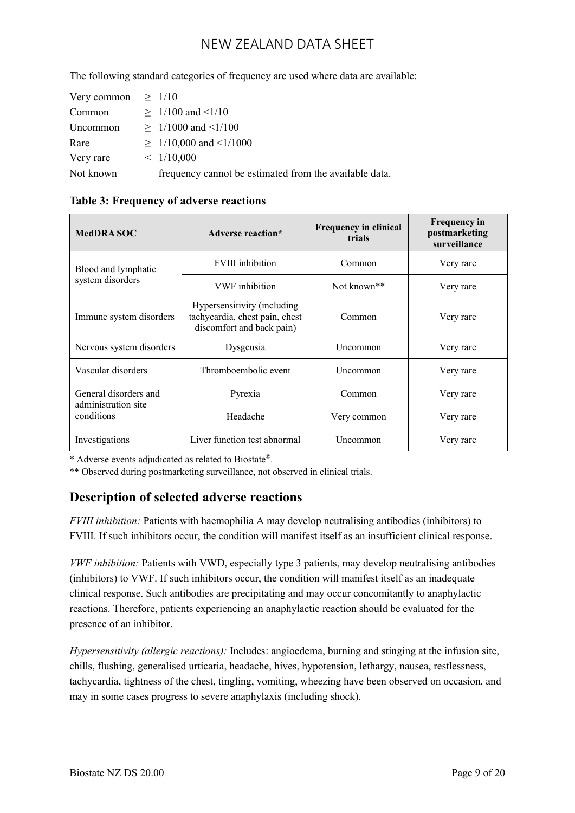The following standard categories of frequency are used where data are available:

| Very common | >1/10                                                  |
|-------------|--------------------------------------------------------|
| Common      | $\geq 1/100$ and $\leq 1/10$                           |
| Uncommon    | $\geq 1/1000$ and $\leq 1/100$                         |
| Rare        | $\geq 1/10,000$ and $\leq 1/1000$                      |
| Very rare   | $\leq$ 1/10,000                                        |
| Not known   | frequency cannot be estimated from the available data. |

| <b>MedDRA SOC</b>                              | Adverse reaction*                                                                          | <b>Frequency in clinical</b><br>trials | <b>Frequency in</b><br>postmarketing<br>surveillance |  |
|------------------------------------------------|--------------------------------------------------------------------------------------------|----------------------------------------|------------------------------------------------------|--|
| Blood and lymphatic                            | <b>FVIII</b> inhibition                                                                    | Common                                 | Very rare                                            |  |
| system disorders                               | <b>VWF</b> inhibition                                                                      | Not known <sup>**</sup>                | Very rare                                            |  |
| Immune system disorders                        | Hypersensitivity (including<br>tachycardia, chest pain, chest<br>discomfort and back pain) | Common                                 | Very rare                                            |  |
| Nervous system disorders                       | Dysgeusia                                                                                  | Uncommon                               | Very rare                                            |  |
| Vascular disorders                             | Thromboembolic event                                                                       | Uncommon                               | Very rare                                            |  |
| General disorders and<br>administration site   | Pyrexia                                                                                    | Common                                 | Very rare                                            |  |
| conditions                                     | Headache                                                                                   | Very common                            | Very rare                                            |  |
| Liver function test abnormal<br>Investigations |                                                                                            | Uncommon                               | Very rare                                            |  |

**Table 3: Frequency of adverse reactions**

\* Adverse events adjudicated as related to Biostate®.

\*\* Observed during postmarketing surveillance, not observed in clinical trials.

## **Description of selected adverse reactions**

*FVIII inhibition:* Patients with haemophilia A may develop neutralising antibodies (inhibitors) to FVIII. If such inhibitors occur, the condition will manifest itself as an insufficient clinical response.

*VWF inhibition:* Patients with VWD, especially type 3 patients, may develop neutralising antibodies (inhibitors) to VWF. If such inhibitors occur, the condition will manifest itself as an inadequate clinical response. Such antibodies are precipitating and may occur concomitantly to anaphylactic reactions. Therefore, patients experiencing an anaphylactic reaction should be evaluated for the presence of an inhibitor.

*Hypersensitivity (allergic reactions):* Includes: angioedema, burning and stinging at the infusion site, chills, flushing, generalised urticaria, headache, hives, hypotension, lethargy, nausea, restlessness, tachycardia, tightness of the chest, tingling, vomiting, wheezing have been observed on occasion, and may in some cases progress to severe anaphylaxis (including shock).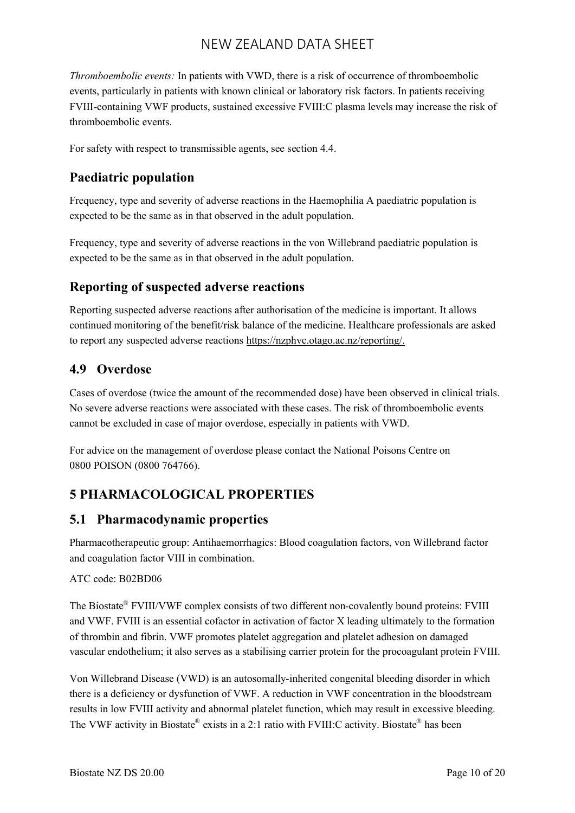*Thromboembolic events:* In patients with VWD, there is a risk of occurrence of thromboembolic events, particularly in patients with known clinical or laboratory risk factors. In patients receiving FVIII-containing VWF products, sustained excessive FVIII:C plasma levels may increase the risk of thromboembolic events.

For safety with respect to transmissible agents, see section 4.4.

## **Paediatric population**

Frequency, type and severity of adverse reactions in the Haemophilia A paediatric population is expected to be the same as in that observed in the adult population.

Frequency, type and severity of adverse reactions in the von Willebrand paediatric population is expected to be the same as in that observed in the adult population.

### **Reporting of suspected adverse reactions**

Reporting suspected adverse reactions after authorisation of the medicine is important. It allows continued monitoring of the benefit/risk balance of the medicine. Healthcare professionals are asked to report any suspected adverse reactions [https://nzphvc.otago.ac.nz/reporting/.](https://nzphvc.otago.ac.nz/reporting/)

### **4.9 Overdose**

Cases of overdose (twice the amount of the recommended dose) have been observed in clinical trials. No severe adverse reactions were associated with these cases. The risk of thromboembolic events cannot be excluded in case of major overdose, especially in patients with VWD.

For advice on the management of overdose please contact the National Poisons Centre on 0800 POISON (0800 764766).

## **5 PHARMACOLOGICAL PROPERTIES**

### **5.1 Pharmacodynamic properties**

Pharmacotherapeutic group: Antihaemorrhagics: Blood coagulation factors, von Willebrand factor and coagulation factor VIII in combination.

#### ATC code: B02BD06

The Biostate<sup>®</sup> FVIII/VWF complex consists of two different non-covalently bound proteins: FVIII and VWF. FVIII is an essential cofactor in activation of factor X leading ultimately to the formation of thrombin and fibrin. VWF promotes platelet aggregation and platelet adhesion on damaged vascular endothelium; it also serves as a stabilising carrier protein for the procoagulant protein FVIII.

Von Willebrand Disease (VWD) is an autosomally-inherited congenital bleeding disorder in which there is a deficiency or dysfunction of VWF. A reduction in VWF concentration in the bloodstream results in low FVIII activity and abnormal platelet function, which may result in excessive bleeding. The VWF activity in Biostate® exists in a 2:1 ratio with FVIII:C activity. Biostate® has been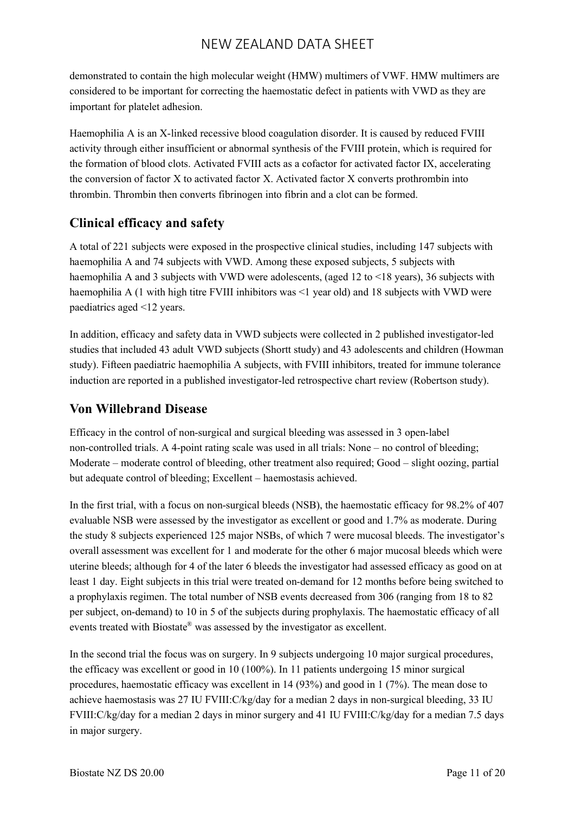demonstrated to contain the high molecular weight (HMW) multimers of VWF. HMW multimers are considered to be important for correcting the haemostatic defect in patients with VWD as they are important for platelet adhesion.

Haemophilia A is an X-linked recessive blood coagulation disorder. It is caused by reduced FVIII activity through either insufficient or abnormal synthesis of the FVIII protein, which is required for the formation of blood clots. Activated FVIII acts as a cofactor for activated factor IX, accelerating the conversion of factor X to activated factor X. Activated factor X converts prothrombin into thrombin. Thrombin then converts fibrinogen into fibrin and a clot can be formed.

## **Clinical efficacy and safety**

A total of 221 subjects were exposed in the prospective clinical studies, including 147 subjects with haemophilia A and 74 subjects with VWD. Among these exposed subjects, 5 subjects with haemophilia A and 3 subjects with VWD were adolescents, (aged 12 to <18 years), 36 subjects with haemophilia A (1 with high titre FVIII inhibitors was <1 year old) and 18 subjects with VWD were paediatrics aged <12 years.

In addition, efficacy and safety data in VWD subjects were collected in 2 published investigator-led studies that included 43 adult VWD subjects (Shortt study) and 43 adolescents and children (Howman study). Fifteen paediatric haemophilia A subjects, with FVIII inhibitors, treated for immune tolerance induction are reported in a published investigator-led retrospective chart review (Robertson study).

## **Von Willebrand Disease**

Efficacy in the control of non-surgical and surgical bleeding was assessed in 3 open-label non-controlled trials. A 4-point rating scale was used in all trials: None – no control of bleeding; Moderate – moderate control of bleeding, other treatment also required; Good – slight oozing, partial but adequate control of bleeding; Excellent – haemostasis achieved.

In the first trial, with a focus on non-surgical bleeds (NSB), the haemostatic efficacy for 98.2% of 407 evaluable NSB were assessed by the investigator as excellent or good and 1.7% as moderate. During the study 8 subjects experienced 125 major NSBs, of which 7 were mucosal bleeds. The investigator's overall assessment was excellent for 1 and moderate for the other 6 major mucosal bleeds which were uterine bleeds; although for 4 of the later 6 bleeds the investigator had assessed efficacy as good on at least 1 day. Eight subjects in this trial were treated on-demand for 12 months before being switched to a prophylaxis regimen. The total number of NSB events decreased from 306 (ranging from 18 to 82 per subject, on-demand) to 10 in 5 of the subjects during prophylaxis. The haemostatic efficacy of all events treated with Biostate® was assessed by the investigator as excellent.

In the second trial the focus was on surgery. In 9 subjects undergoing 10 major surgical procedures, the efficacy was excellent or good in 10 (100%). In 11 patients undergoing 15 minor surgical procedures, haemostatic efficacy was excellent in 14 (93%) and good in 1 (7%). The mean dose to achieve haemostasis was 27 IU FVIII:C/kg/day for a median 2 days in non-surgical bleeding, 33 IU FVIII:C/kg/day for a median 2 days in minor surgery and 41 IU FVIII:C/kg/day for a median 7.5 days in major surgery.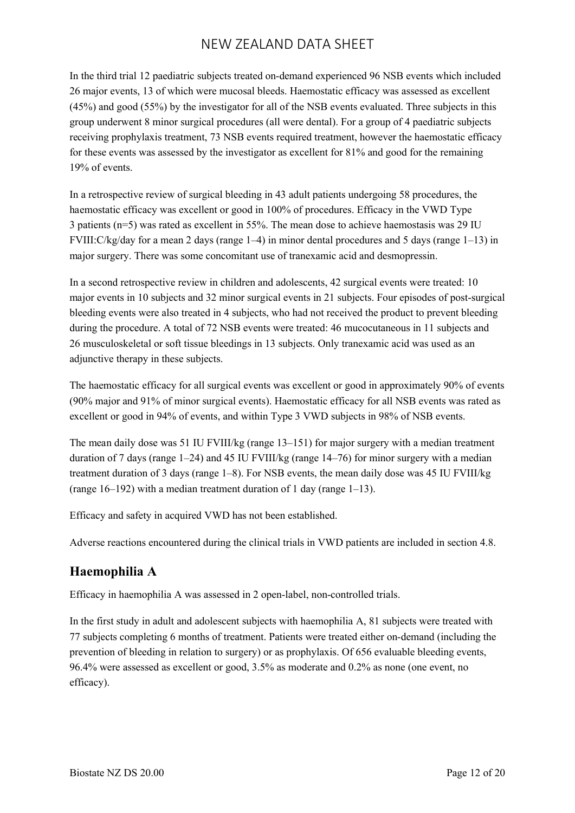In the third trial 12 paediatric subjects treated on-demand experienced 96 NSB events which included 26 major events, 13 of which were mucosal bleeds. Haemostatic efficacy was assessed as excellent (45%) and good (55%) by the investigator for all of the NSB events evaluated. Three subjects in this group underwent 8 minor surgical procedures (all were dental). For a group of 4 paediatric subjects receiving prophylaxis treatment, 73 NSB events required treatment, however the haemostatic efficacy for these events was assessed by the investigator as excellent for 81% and good for the remaining 19% of events.

In a retrospective review of surgical bleeding in 43 adult patients undergoing 58 procedures, the haemostatic efficacy was excellent or good in 100% of procedures. Efficacy in the VWD Type 3 patients (n=5) was rated as excellent in 55%. The mean dose to achieve haemostasis was 29 IU FVIII:C/kg/day for a mean 2 days (range 1–4) in minor dental procedures and 5 days (range 1–13) in major surgery. There was some concomitant use of tranexamic acid and desmopressin.

In a second retrospective review in children and adolescents, 42 surgical events were treated: 10 major events in 10 subjects and 32 minor surgical events in 21 subjects. Four episodes of post-surgical bleeding events were also treated in 4 subjects, who had not received the product to prevent bleeding during the procedure. A total of 72 NSB events were treated: 46 mucocutaneous in 11 subjects and 26 musculoskeletal or soft tissue bleedings in 13 subjects. Only tranexamic acid was used as an adjunctive therapy in these subjects.

The haemostatic efficacy for all surgical events was excellent or good in approximately 90% of events (90% major and 91% of minor surgical events). Haemostatic efficacy for all NSB events was rated as excellent or good in 94% of events, and within Type 3 VWD subjects in 98% of NSB events.

The mean daily dose was 51 IU FVIII/kg (range 13–151) for major surgery with a median treatment duration of 7 days (range 1–24) and 45 IU FVIII/kg (range 14–76) for minor surgery with a median treatment duration of 3 days (range 1–8). For NSB events, the mean daily dose was 45 IU FVIII/kg (range 16–192) with a median treatment duration of 1 day (range 1–13).

Efficacy and safety in acquired VWD has not been established.

Adverse reactions encountered during the clinical trials in VWD patients are included in section 4.8.

## **Haemophilia A**

Efficacy in haemophilia A was assessed in 2 open-label, non-controlled trials.

In the first study in adult and adolescent subjects with haemophilia A, 81 subjects were treated with 77 subjects completing 6 months of treatment. Patients were treated either on-demand (including the prevention of bleeding in relation to surgery) or as prophylaxis. Of 656 evaluable bleeding events, 96.4% were assessed as excellent or good, 3.5% as moderate and 0.2% as none (one event, no efficacy).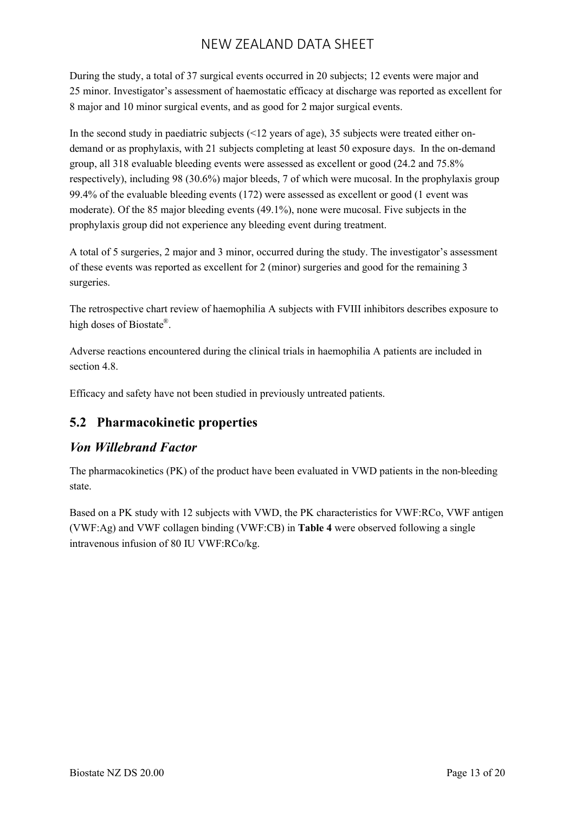During the study, a total of 37 surgical events occurred in 20 subjects; 12 events were major and 25 minor. Investigator's assessment of haemostatic efficacy at discharge was reported as excellent for 8 major and 10 minor surgical events, and as good for 2 major surgical events.

In the second study in paediatric subjects (<12 years of age), 35 subjects were treated either ondemand or as prophylaxis, with 21 subjects completing at least 50 exposure days. In the on-demand group, all 318 evaluable bleeding events were assessed as excellent or good (24.2 and 75.8% respectively), including 98 (30.6%) major bleeds, 7 of which were mucosal. In the prophylaxis group 99.4% of the evaluable bleeding events (172) were assessed as excellent or good (1 event was moderate). Of the 85 major bleeding events (49.1%), none were mucosal. Five subjects in the prophylaxis group did not experience any bleeding event during treatment.

A total of 5 surgeries, 2 major and 3 minor, occurred during the study. The investigator's assessment of these events was reported as excellent for 2 (minor) surgeries and good for the remaining 3 surgeries.

The retrospective chart review of haemophilia A subjects with FVIII inhibitors describes exposure to high doses of Biostate®.

Adverse reactions encountered during the clinical trials in haemophilia A patients are included in section 4.8

Efficacy and safety have not been studied in previously untreated patients.

## **5.2 Pharmacokinetic properties**

## *Von Willebrand Factor*

The pharmacokinetics (PK) of the product have been evaluated in VWD patients in the non-bleeding state.

Based on a PK study with 12 subjects with VWD, the PK characteristics for VWF:RCo, VWF antigen (VWF:Ag) and VWF collagen binding (VWF:CB) in **Table 4** were observed following a single intravenous infusion of 80 IU VWF:RCo/kg.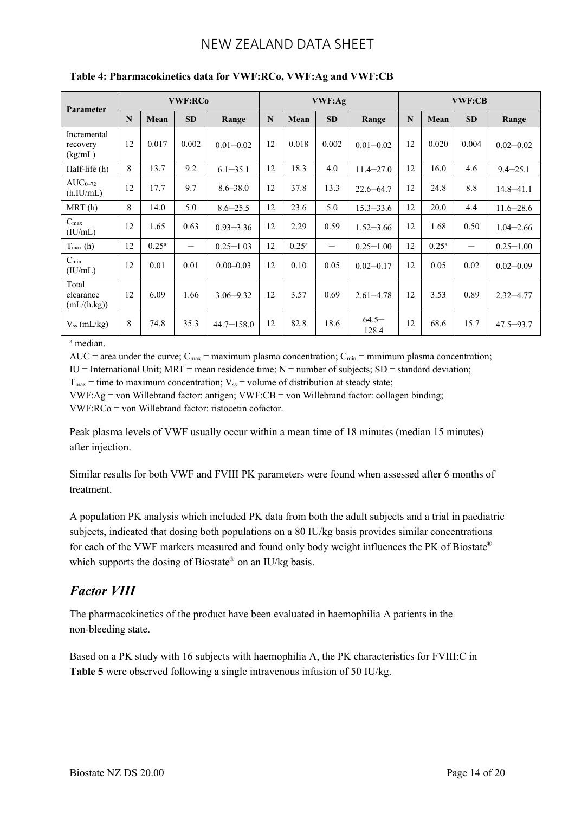| Parameter                          | <b>VWF:RCo</b> |                |                          |                |    | VWF:Ag         |                          |                   | <b>VWF:CB</b> |                |                   |               |
|------------------------------------|----------------|----------------|--------------------------|----------------|----|----------------|--------------------------|-------------------|---------------|----------------|-------------------|---------------|
|                                    | N              | Mean           | <b>SD</b>                | Range          | N  | Mean           | <b>SD</b>                | Range             | N             | Mean           | <b>SD</b>         | Range         |
| Incremental<br>recovery<br>(kg/mL) | 12             | 0.017          | 0.002                    | $0.01 - 0.02$  | 12 | 0.018          | 0.002                    | $0.01 - 0.02$     | 12            | 0.020          | 0.004             | $0.02 - 0.02$ |
| Half-life (h)                      | 8              | 13.7           | 9.2                      | $6.1 - 35.1$   | 12 | 18.3           | 4.0                      | $11.4 - 27.0$     | 12            | 16.0           | 4.6               | $9.4 - 25.1$  |
| $AUC_{0-72}$<br>(h.IU/mL)          | 12             | 17.7           | 9.7                      | $8.6 - 38.0$   | 12 | 37.8           | 13.3                     | $22.6 - 64.7$     | 12            | 24.8           | 8.8               | $14.8 - 41.1$ |
| MRT(h)                             | 8              | 14.0           | 5.0                      | $8.6 - 25.5$   | 12 | 23.6           | 5.0                      | $15.3 - 33.6$     | 12            | 20.0           | 4.4               | $11.6 - 28.6$ |
| $C_{\text{max}}$<br>(IU/mL)        | 12             | 1.65           | 0.63                     | $0.93 - 3.36$  | 12 | 2.29           | 0.59                     | $1.52 - 3.66$     | 12            | 1.68           | 0.50              | $1.04 - 2.66$ |
| $T_{\text{max}}(h)$                | 12             | $0.25^{\rm a}$ | $\overline{\phantom{0}}$ | $0.25 - 1.03$  | 12 | $0.25^{\rm a}$ | $\overline{\phantom{0}}$ | $0.25 - 1.00$     | 12            | $0.25^{\rm a}$ | $\qquad \qquad -$ | $0.25 - 1.00$ |
| $C_{\text{min}}$<br>(IU/mL)        | 12             | 0.01           | 0.01                     | $0.00 - 0.03$  | 12 | 0.10           | 0.05                     | $0.02 - 0.17$     | 12            | 0.05           | 0.02              | $0.02 - 0.09$ |
| Total<br>clearance<br>(mL/(h.kg))  | 12             | 6.09           | 1.66                     | $3.06 - 9.32$  | 12 | 3.57           | 0.69                     | $2.61 - 4.78$     | 12            | 3.53           | 0.89              | $2.32 - 4.77$ |
| $V_{ss}$ (mL/kg)                   | 8              | 74.8           | 35.3                     | $44.7 - 158.0$ | 12 | 82.8           | 18.6                     | $64.5 -$<br>128.4 | 12            | 68.6           | 15.7              | $47.5 - 93.7$ |

#### **Table 4: Pharmacokinetics data for VWF:RCo, VWF:Ag and VWF:CB**

<sup>a</sup> median.

AUC = area under the curve;  $C_{\text{max}}$  = maximum plasma concentration;  $C_{\text{min}}$  = minimum plasma concentration;

IU = International Unit; MRT = mean residence time;  $N =$  number of subjects; SD = standard deviation;

 $T_{\text{max}}$  = time to maximum concentration;  $V_{\text{ss}}$  = volume of distribution at steady state;

VWF:Ag = von Willebrand factor: antigen; VWF:CB = von Willebrand factor: collagen binding;  $VWF:RCo = von Willebrand factor: ristocetin cofactor.$ 

Peak plasma levels of VWF usually occur within a mean time of 18 minutes (median 15 minutes) after injection.

Similar results for both VWF and FVIII PK parameters were found when assessed after 6 months of treatment.

A population PK analysis which included PK data from both the adult subjects and a trial in paediatric subjects, indicated that dosing both populations on a 80 IU/kg basis provides similar concentrations for each of the VWF markers measured and found only body weight influences the PK of Biostate® which supports the dosing of Biostate® on an IU/kg basis.

## *Factor VIII*

The pharmacokinetics of the product have been evaluated in haemophilia A patients in the non-bleeding state.

Based on a PK study with 16 subjects with haemophilia A, the PK characteristics for FVIII:C in **Table 5** were observed following a single intravenous infusion of 50 IU/kg.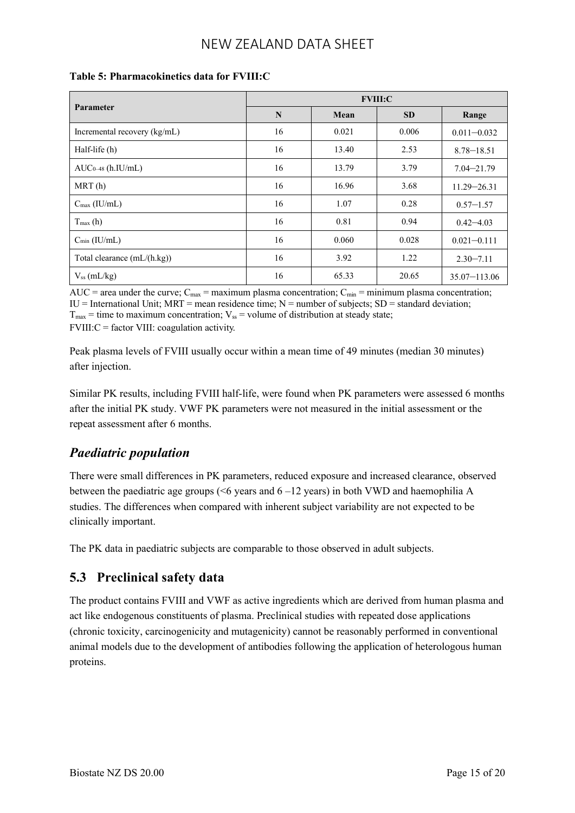|                               | <b>FVIII:C</b> |       |           |                  |  |  |  |
|-------------------------------|----------------|-------|-----------|------------------|--|--|--|
| Parameter                     | N              | Mean  | <b>SD</b> | Range            |  |  |  |
| Incremental recovery (kg/mL)  | 16             | 0.021 | 0.006     | $0.011 - 0.032$  |  |  |  |
| Half-life (h)                 | 16             | 13.40 | 2.53      | $8.78 - 18.51$   |  |  |  |
| $AUC_{0-48}$ (h. IU/mL)       | 16             | 13.79 | 3.79      | $7.04 - 21.79$   |  |  |  |
| MRT(h)                        | 16             | 16.96 | 3.68      | $11.29 - 26.31$  |  |  |  |
| $C_{\text{max}}$ (IU/mL)      | 16             | 1.07  | 0.28      | $0.57 - 1.57$    |  |  |  |
| $T_{\text{max}}(h)$           | 16             | 0.81  | 0.94      | $0.42 - 4.03$    |  |  |  |
| $C_{\min}$ (IU/mL)            | 16             | 0.060 | 0.028     | $0.021 - 0.111$  |  |  |  |
| Total clearance $(mL/(h.kg))$ | 16             | 3.92  | 1.22      | $2.30 - 7.11$    |  |  |  |
| $V_{ss}$ (mL/kg)              | 16             | 65.33 | 20.65     | $35.07 - 113.06$ |  |  |  |

#### **Table 5: Pharmacokinetics data for FVIII:C**

AUC = area under the curve;  $C_{\text{max}}$  = maximum plasma concentration;  $C_{\text{min}}$  = minimum plasma concentration;  $IU = International Unit; MRT = mean residence time; N = number of subjects; SD = standard deviation;$ 

 $T_{\text{max}}$  = time to maximum concentration;  $V_{\text{ss}}$  = volume of distribution at steady state;

 $FVIII:C = factor VIII: coagulation activity.$ 

Peak plasma levels of FVIII usually occur within a mean time of 49 minutes (median 30 minutes) after injection.

Similar PK results, including FVIII half-life, were found when PK parameters were assessed 6 months after the initial PK study. VWF PK parameters were not measured in the initial assessment or the repeat assessment after 6 months.

## *Paediatric population*

There were small differences in PK parameters, reduced exposure and increased clearance, observed between the paediatric age groups ( $\leq 6$  years and  $6 - 12$  years) in both VWD and haemophilia A studies. The differences when compared with inherent subject variability are not expected to be clinically important.

The PK data in paediatric subjects are comparable to those observed in adult subjects.

## **5.3 Preclinical safety data**

The product contains FVIII and VWF as active ingredients which are derived from human plasma and act like endogenous constituents of plasma. Preclinical studies with repeated dose applications (chronic toxicity, carcinogenicity and mutagenicity) cannot be reasonably performed in conventional animal models due to the development of antibodies following the application of heterologous human proteins.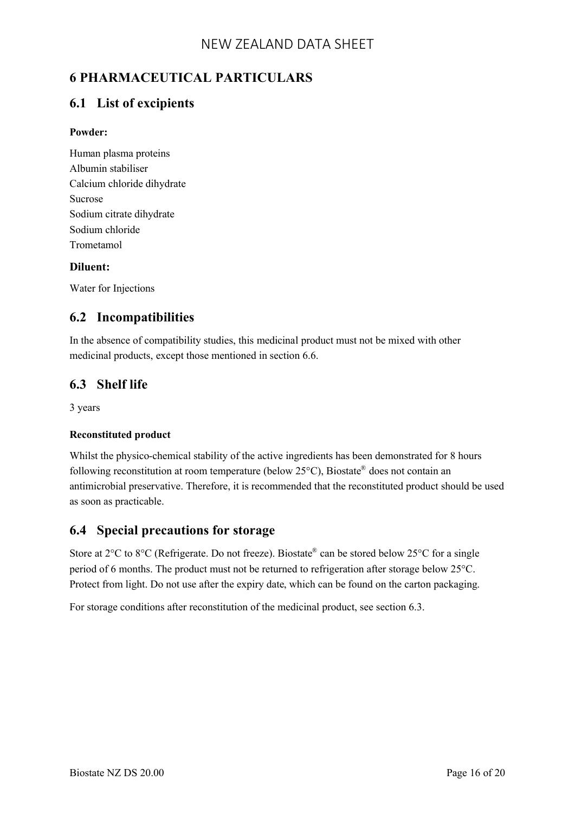# **6 PHARMACEUTICAL PARTICULARS**

### **6.1 List of excipients**

#### **Powder:**

Human plasma proteins Albumin stabiliser Calcium chloride dihydrate Sucrose Sodium citrate dihydrate Sodium chloride Trometamol

#### **Diluent:**

Water for Injections

### **6.2 Incompatibilities**

In the absence of compatibility studies, this medicinal product must not be mixed with other medicinal products, except those mentioned in section 6.6.

### **6.3 Shelf life**

3 years

#### **Reconstituted product**

Whilst the physico-chemical stability of the active ingredients has been demonstrated for 8 hours following reconstitution at room temperature (below 25°C), Biostate® does not contain an antimicrobial preservative. Therefore, it is recommended that the reconstituted product should be used as soon as practicable.

### **6.4 Special precautions for storage**

Store at 2<sup>o</sup>C to 8<sup>o</sup>C (Refrigerate. Do not freeze). Biostate<sup>®</sup> can be stored below 25<sup>o</sup>C for a single period of 6 months. The product must not be returned to refrigeration after storage below 25°C. Protect from light. Do not use after the expiry date, which can be found on the carton packaging.

For storage conditions after reconstitution of the medicinal product, see section 6.3.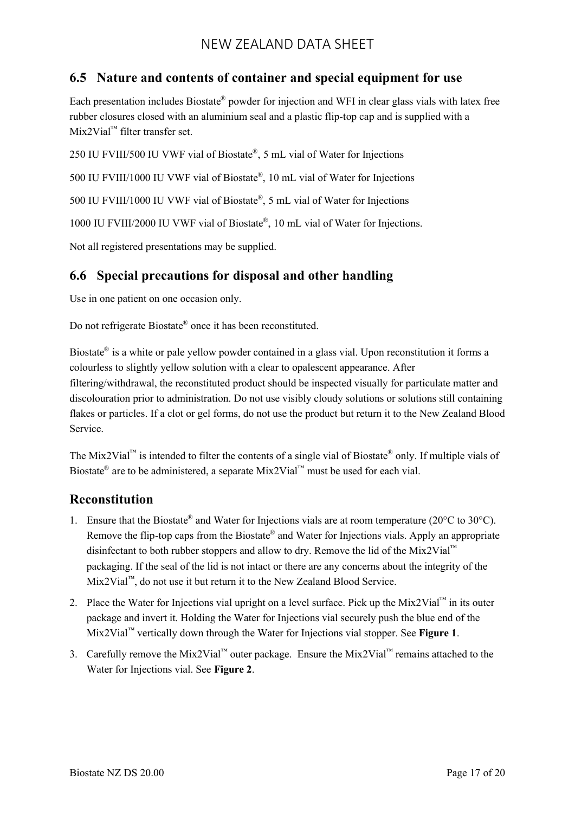## **6.5 Nature and contents of container and special equipment for use**

Each presentation includes Biostate® powder for injection and WFI in clear glass vials with latex free rubber closures closed with an aluminium seal and a plastic flip-top cap and is supplied with a Mix2Vial™ filter transfer set.

250 IU FVIII/500 IU VWF vial of Biostate® , 5 mL vial of Water for Injections

500 IU FVIII/1000 IU VWF vial of Biostate® , 10 mL vial of Water for Injections

500 IU FVIII/1000 IU VWF vial of Biostate® , 5 mL vial of Water for Injections

1000 IU FVIII/2000 IU VWF vial of Biostate® , 10 mL vial of Water for Injections.

Not all registered presentations may be supplied.

### **6.6 Special precautions for disposal and other handling**

Use in one patient on one occasion only.

Do not refrigerate Biostate® once it has been reconstituted.

Biostate<sup>®</sup> is a white or pale yellow powder contained in a glass vial. Upon reconstitution it forms a colourless to slightly yellow solution with a clear to opalescent appearance. After filtering/withdrawal, the reconstituted product should be inspected visually for particulate matter and discolouration prior to administration. Do not use visibly cloudy solutions or solutions still containing flakes or particles. If a clot or gel forms, do not use the product but return it to the New Zealand Blood Service.

The Mix2Vial<sup>™</sup> is intended to filter the contents of a single vial of Biostate<sup>®</sup> only. If multiple vials of Biostate<sup>®</sup> are to be administered, a separate Mix2Vial<sup>™</sup> must be used for each vial.

### **Reconstitution**

- 1. Ensure that the Biostate® and Water for Injections vials are at room temperature (20°C to 30°C). Remove the flip-top caps from the Biostate® and Water for Injections vials. Apply an appropriate disinfectant to both rubber stoppers and allow to dry. Remove the lid of the Mix2Vial™ packaging. If the seal of the lid is not intact or there are any concerns about the integrity of the Mix2Vial™, do not use it but return it to the New Zealand Blood Service.
- 2. Place the Water for Injections vial upright on a level surface. Pick up the Mix2Vial™ in its outer package and invert it. Holding the Water for Injections vial securely push the blue end of the Mix2Vial™ vertically down through the Water for Injections vial stopper. See **Figure 1**.
- 3. Carefully remove the Mix2Vial™ outer package. Ensure the Mix2Vial™ remains attached to the Water for Injections vial. See **Figure 2**.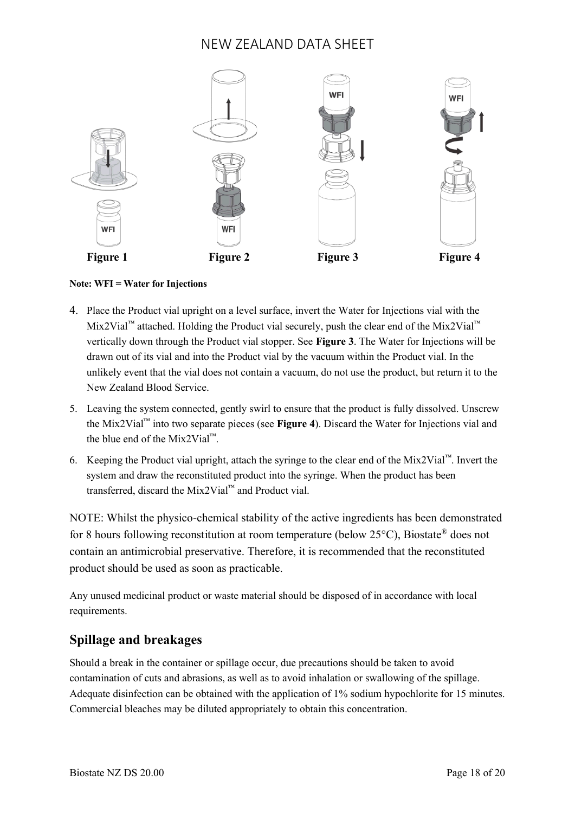

#### **Note: WFI = Water for Injections**

- 4. Place the Product vial upright on a level surface, invert the Water for Injections vial with the Mix2Vial<sup>™</sup> attached. Holding the Product vial securely, push the clear end of the Mix2Vial<sup>™</sup> vertically down through the Product vial stopper. See **Figure 3**. The Water for Injections will be drawn out of its vial and into the Product vial by the vacuum within the Product vial. In the unlikely event that the vial does not contain a vacuum, do not use the product, but return it to the New Zealand Blood Service.
- 5. Leaving the system connected, gently swirl to ensure that the product is fully dissolved. Unscrew the Mix2Vial™ into two separate pieces (see **Figure 4**). Discard the Water for Injections vial and the blue end of the Mix2Vial™.
- 6. Keeping the Product vial upright, attach the syringe to the clear end of the Mix2Vial™. Invert the system and draw the reconstituted product into the syringe. When the product has been transferred, discard the Mix2Vial™ and Product vial.

NOTE: Whilst the physico-chemical stability of the active ingredients has been demonstrated for 8 hours following reconstitution at room temperature (below 25°C), Biostate® does not contain an antimicrobial preservative. Therefore, it is recommended that the reconstituted product should be used as soon as practicable.

Any unused medicinal product or waste material should be disposed of in accordance with local requirements.

### **Spillage and breakages**

Should a break in the container or spillage occur, due precautions should be taken to avoid contamination of cuts and abrasions, as well as to avoid inhalation or swallowing of the spillage. Adequate disinfection can be obtained with the application of 1% sodium hypochlorite for 15 minutes. Commercial bleaches may be diluted appropriately to obtain this concentration.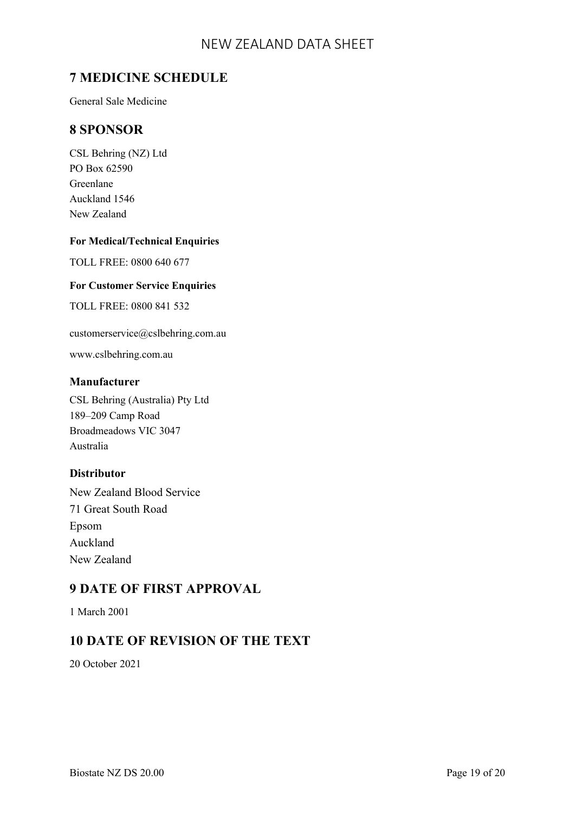## **7 MEDICINE SCHEDULE**

General Sale Medicine

### **8 SPONSOR**

CSL Behring (NZ) Ltd PO Box 62590 Greenlane Auckland 1546 New Zealand

#### **For Medical/Technical Enquiries**

TOLL FREE: 0800 640 677

#### **For Customer Service Enquiries**

TOLL FREE: 0800 841 532

customerservice@cslbehring.com.au

www.cslbehring.com.au

#### **Manufacturer**

CSL Behring (Australia) Pty Ltd 189–209 Camp Road Broadmeadows VIC 3047 Australia

#### **Distributor**

New Zealand Blood Service 71 Great South Road Epsom Auckland New Zealand

## **9 DATE OF FIRST APPROVAL**

1 March 2001

### **10 DATE OF REVISION OF THE TEXT**

20 October 2021